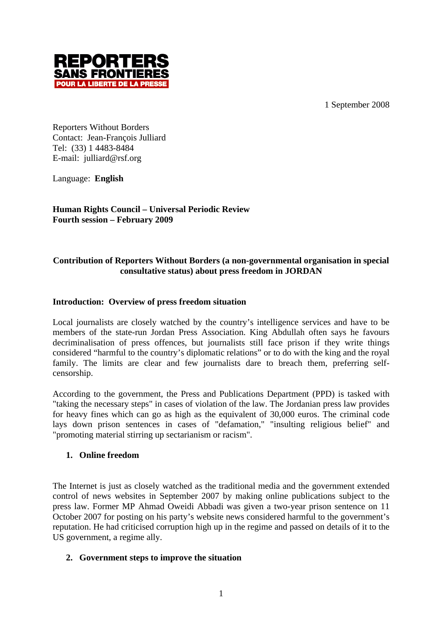1 September 2008



Reporters Without Borders Contact: Jean-François Julliard Tel: (33) 1 4483-8484 E-mail: julliard@rsf.org

Language: **English**

**Human Rights Council – Universal Periodic Review Fourth session – February 2009**

# **Contribution of Reporters Without Borders (a non-governmental organisation in special consultative status) about press freedom in JORDAN**

# **Introduction: Overview of press freedom situation**

Local journalists are closely watched by the country's intelligence services and have to be members of the state-run Jordan Press Association. King Abdullah often says he favours decriminalisation of press offences, but journalists still face prison if they write things considered "harmful to the country's diplomatic relations" or to do with the king and the royal family. The limits are clear and few journalists dare to breach them, preferring selfcensorship.

According to the government, the Press and Publications Department (PPD) is tasked with "taking the necessary steps" in cases of violation of the law. The Jordanian press law provides for heavy fines which can go as high as the equivalent of 30,000 euros. The criminal code lays down prison sentences in cases of "defamation," "insulting religious belief" and "promoting material stirring up sectarianism or racism".

# **1. Online freedom**

The Internet is just as closely watched as the traditional media and the government extended control of news websites in September 2007 by making online publications subject to the press law. Former MP Ahmad Oweidi Abbadi was given a two-year prison sentence on 11 October 2007 for posting on his party's website news considered harmful to the government's reputation. He had criticised corruption high up in the regime and passed on details of it to the US government, a regime ally.

# **2. Government steps to improve the situation**